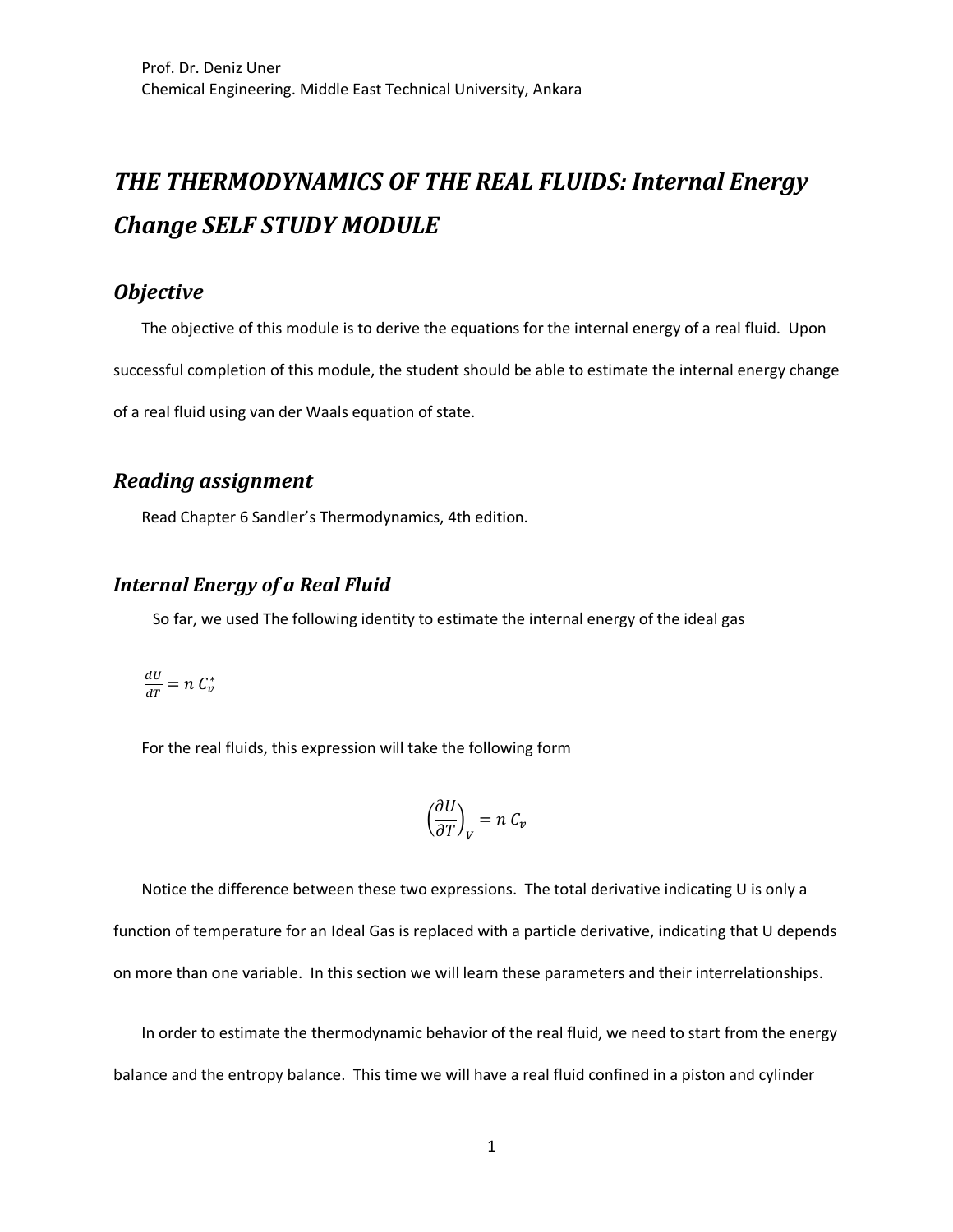# **THE THERMODYNAMICS OF THE REAL FLUIDS: Internal Energy** *Change SELF STUDY MODULE*

## *Objective*

The objective of this module is to derive the equations for the internal energy of a real fluid. Upon successful completion of this module, the student should be able to estimate the internal energy change of a real fluid using van der Waals equation of state.

# *Reading assignment*

Read Chapter 6 Sandler's Thermodynamics, 4th edition.

## **Internal Energy of a Real Fluid**

So far, we used The following identity to estimate the internal energy of the ideal gas

$$
\tfrac{dU}{dT}=n\;C^*_v
$$

For the real fluids, this expression will take the following form

$$
\left(\frac{\partial U}{\partial T}\right)_V = n \; C_v
$$

Notice the difference between these two expressions. The total derivative indicating U is only a function of temperature for an Ideal Gas is replaced with a particle derivative, indicating that U depends on more than one variable. In this section we will learn these parameters and their interrelationships.

In order to estimate the thermodynamic behavior of the real fluid, we need to start from the energy balance and the entropy balance. This time we will have a real fluid confined in a piston and cylinder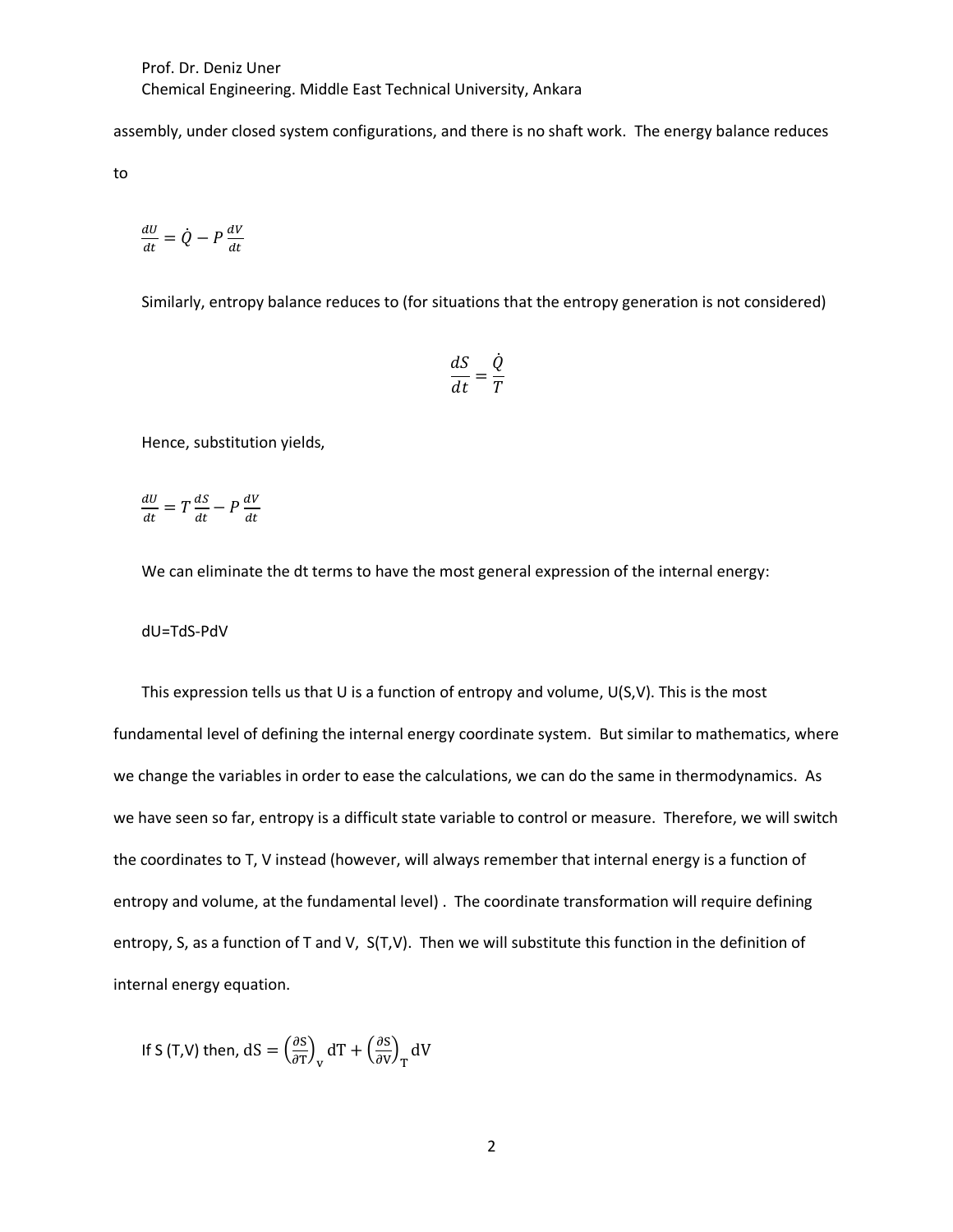assembly, under closed system configurations, and there is no shaft work. The energy balance reduces

to

$$
\frac{dU}{dt} = \dot{Q} - P\frac{dV}{dt}
$$

Similarly, entropy balance reduces to (for situations that the entropy generation is not considered)

$$
\frac{dS}{dt} = \frac{\dot{Q}}{T}
$$

Hence, substitution yields,

$$
\frac{dU}{dt} = T\frac{dS}{dt} - P\frac{dV}{dt}
$$

We can eliminate the dt terms to have the most general expression of the internal energy:

dU=TdS-PdV

This expression tells us that U is a function of entropy and volume,  $U(S, V)$ . This is the most fundamental level of defining the internal energy coordinate system. But similar to mathematics, where we change the variables in order to ease the calculations, we can do the same in thermodynamics. As we have seen so far, entropy is a difficult state variable to control or measure. Therefore, we will switch the coordinates to T, V instead (however, will always remember that internal energy is a function of entropy and volume, at the fundamental level) . The coordinate transformation will require defining entropy, S, as a function of T and V, S(T,V). Then we will substitute this function in the definition of internal energy equation.

If S (T,V) then,  $dS = \left(\frac{\partial S}{\partial T}\right)$  $\frac{\partial S}{\partial T}\Big|_{V} dT + \left(\frac{\partial S}{\partial V}\right)$  $\frac{\partial S}{\partial V}$ <sub>T</sub> dV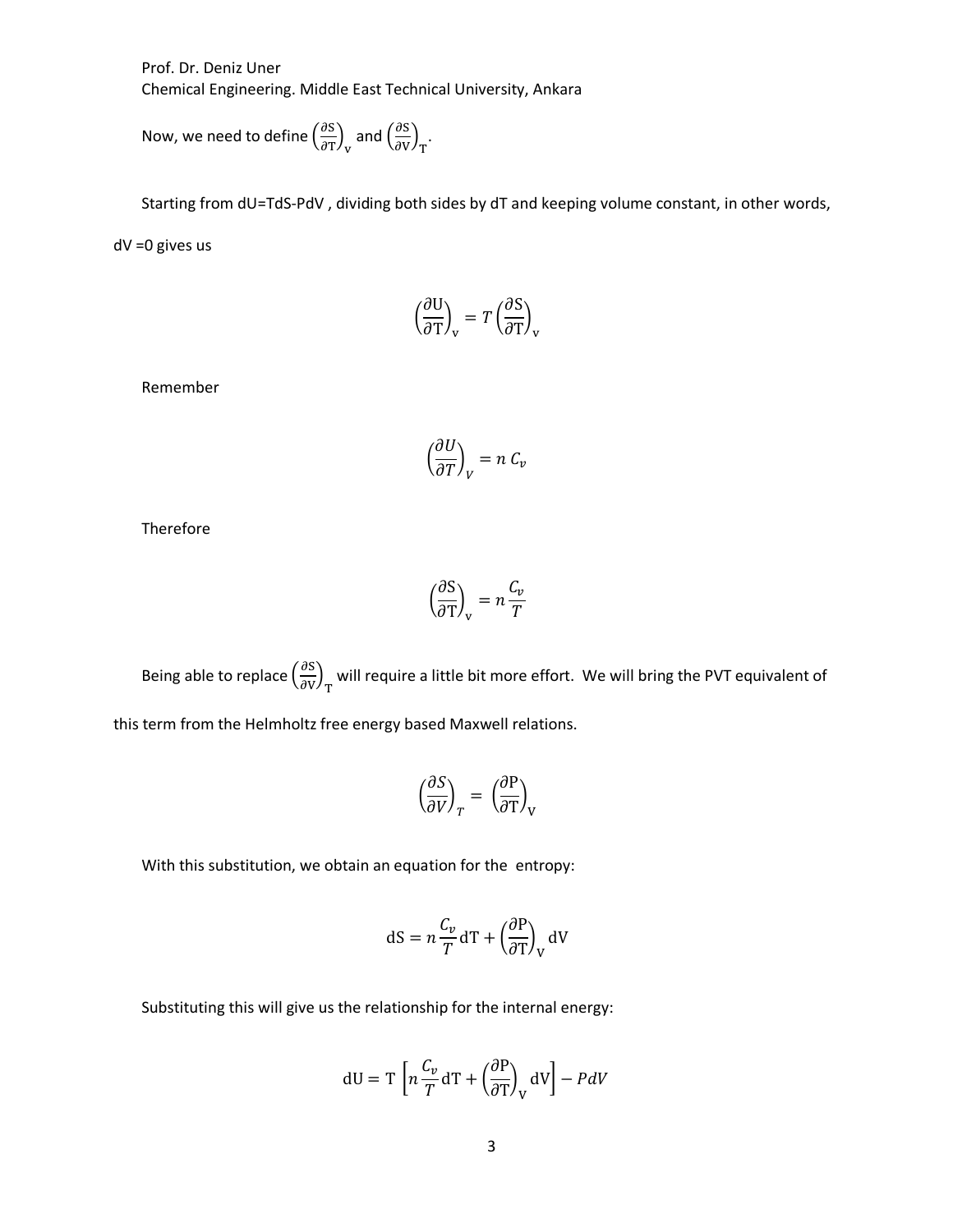Prof. Dr. Deniz Uner Chemical Engineering. Middle East Technical University, Ankara

Now, we need to define  $\left(\frac{\partial S}{\partial x}\right)$  $\frac{\partial S}{\partial T}\Big)_{\rm v}$  and  $\left(\frac{\partial S}{\partial V}\right)$  $\frac{\partial S}{\partial V}\Big)_{T}$ .

Starting from dU=TdS-PdV , dividing both sides by dT and keeping volume constant, in other words, dV =0 gives us

$$
\left(\frac{\partial \mathbf{U}}{\partial \mathbf{T}}\right)_{\mathbf{v}} = T \left(\frac{\partial \mathbf{S}}{\partial \mathbf{T}}\right)_{\mathbf{v}}
$$

Remember

$$
\left(\frac{\partial U}{\partial T}\right)_V = n \, C_v
$$

Therefore

$$
\left(\frac{\partial S}{\partial T}\right)_V = n \frac{C_v}{T}
$$

Being able to replace  $\left(\frac{\partial S}{\partial x}\right)$  $\left(\frac{\partial S}{\partial V}\right)_T$  will require a little bit more effort. We will bring the PVT equivalent of this term from the Helmholtz free energy based Maxwell relations.

$$
\left(\frac{\partial S}{\partial V}\right)_T = \left(\frac{\partial P}{\partial T}\right)_V
$$

With this substitution, we obtain an equation for the entropy:

$$
dS = n \frac{C_v}{T} dT + \left(\frac{\partial P}{\partial T}\right)_V dV
$$

Substituting this will give us the relationship for the internal energy:

$$
dU = T \left[ n \frac{C_v}{T} dT + \left( \frac{\partial P}{\partial T} \right)_V dV \right] - P dV
$$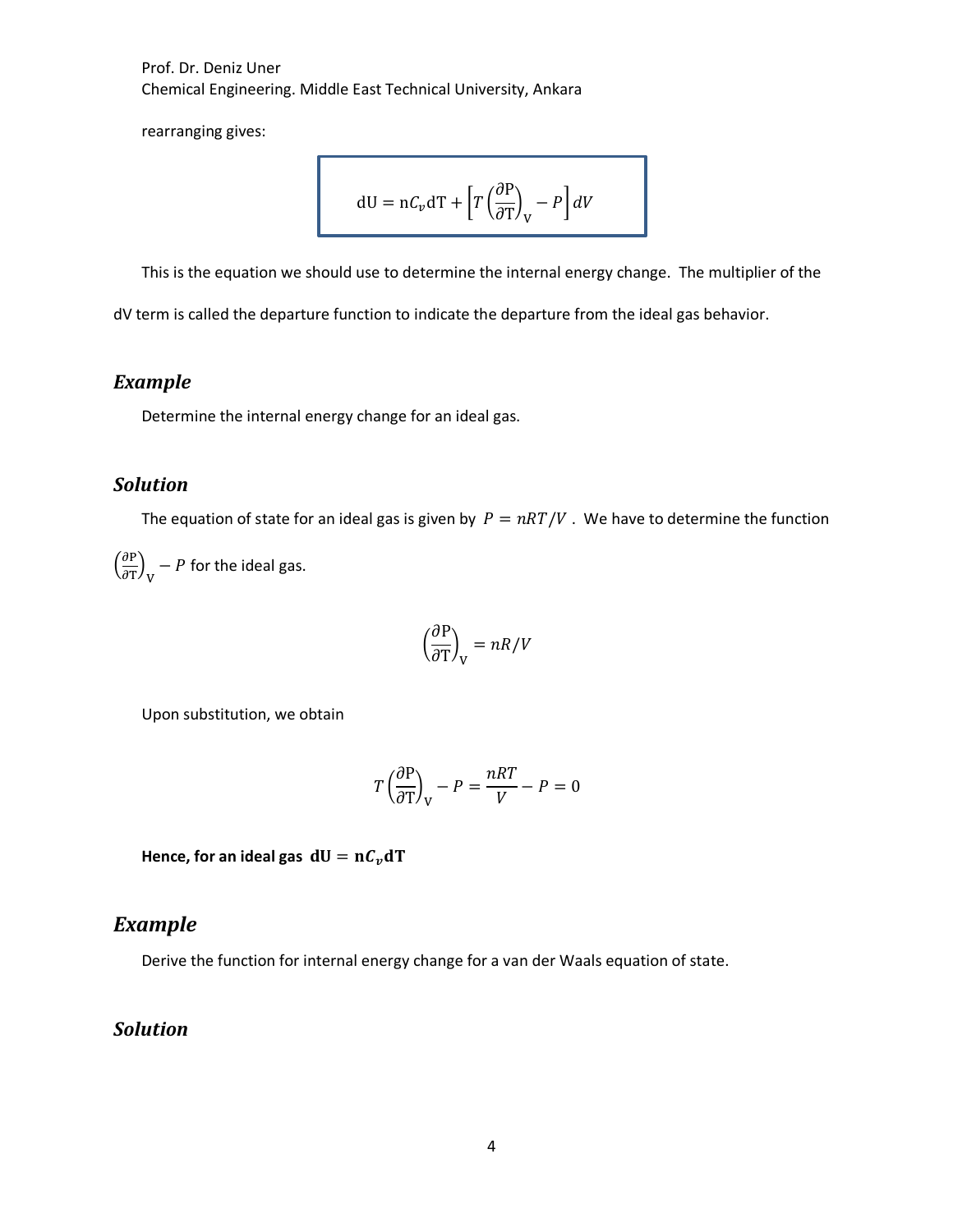Prof. Dr. Deniz Uner Chemical Engineering. Middle East Technical University, Ankara

rearranging gives:

$$
dU = nC_v dT + \left[T\left(\frac{\partial P}{\partial T}\right)_V - P\right]dV
$$

This is the equation we should use to determine the internal energy change. The multiplier of the

dV term is called the departure function to indicate the departure from the ideal gas behavior.

### *Example*

Determine the internal energy change for an ideal gas.

#### *Solution*

The equation of state for an ideal gas is given by  $P = nRT/V$ . We have to determine the function

 $\left(\frac{\partial P}{\partial m}\right)$  $\left(\frac{\partial P}{\partial T}\right)_V$  – P for the ideal gas.

$$
\left(\frac{\partial \mathrm{P}}{\partial \mathrm{T}}\right)_{\mathrm{V}} = nR/V
$$

Upon substitution, we obtain

$$
T\left(\frac{\partial P}{\partial T}\right)_V - P = \frac{nRT}{V} - P = 0
$$

Hence, for an ideal gas  $dU = nC<sub>v</sub>dT$ 

### *Example*

Derive the function for internal energy change for a van der Waals equation of state.

#### *Solution*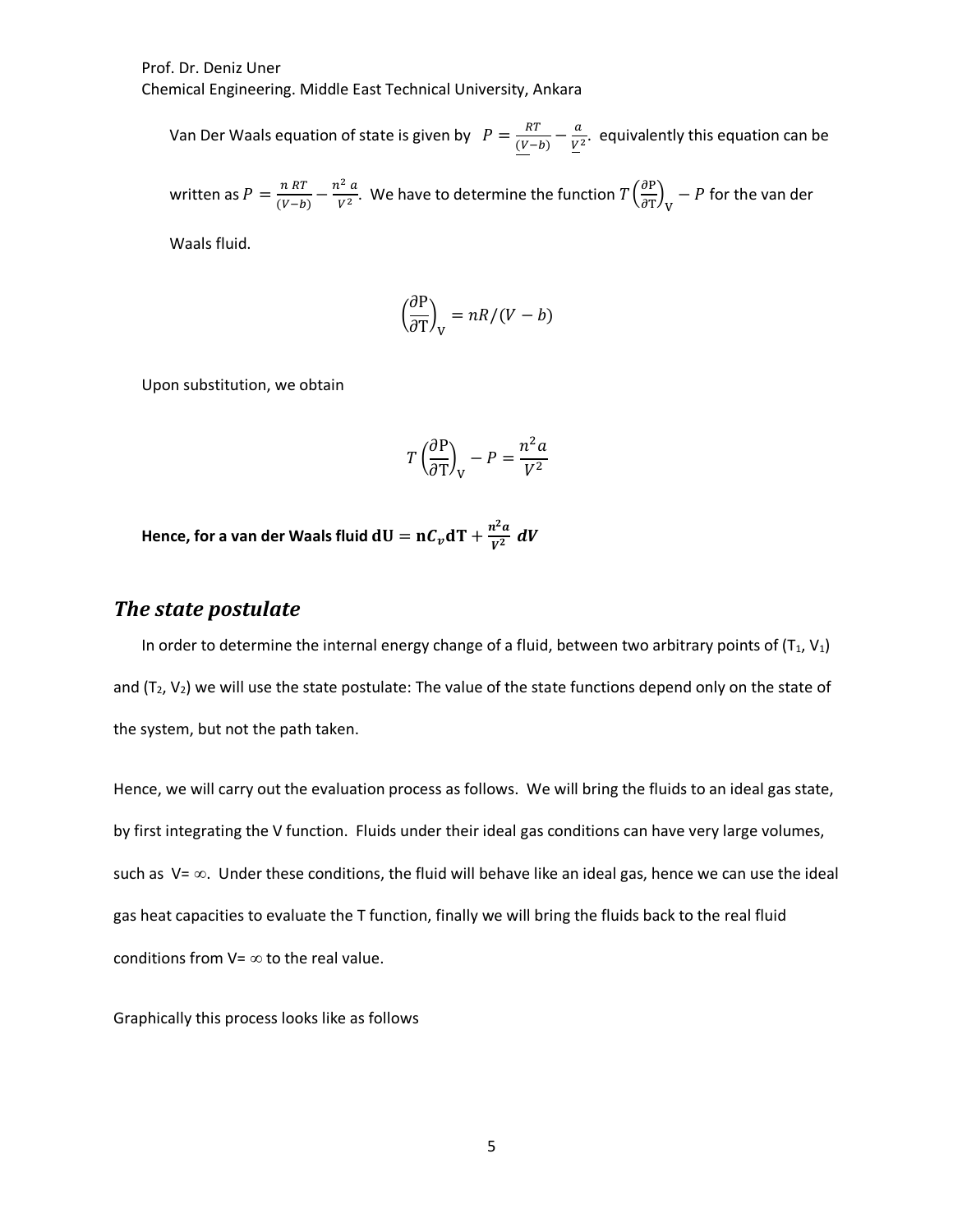Prof. Dr. Deniz Uner

Chemical Engineering. Middle East Technical University, Ankara

Van Der Waals equation of state is given by  $P = \frac{RT}{(V-b)} - \frac{a}{V^2}$ . equivalently this equation can be

written as  $P = \frac{n R T}{(V - b)} - \frac{n^2 a}{V^2}$ . We have to determine the function  $T\left(\frac{\partial P}{\partial T}\right)$  $\left(\frac{\partial P}{\partial T}\right)_V$  – P for the van der

Waals fluid.

$$
\left(\frac{\partial P}{\partial T}\right)_V = nR/(V-b)
$$

Upon substitution, we obtain

$$
T\left(\frac{\partial P}{\partial T}\right)_V - P = \frac{n^2 a}{V^2}
$$

**Hence, for a van der Waals fluid**  $dU = nC_v dT + \frac{n^2 a}{v^2} dV$ 

#### **The state postulate**

In order to determine the internal energy change of a fluid, between two arbitrary points of  $(T_1, V_1)$ and ( $T_2$ ,  $V_2$ ) we will use the state postulate: The value of the state functions depend only on the state of the system, but not the path taken.

Hence, we will carry out the evaluation process as follows. We will bring the fluids to an ideal gas state, by first integrating the V function. Fluids under their ideal gas conditions can have very large volumes, such as  $V = \infty$ . Under these conditions, the fluid will behave like an ideal gas, hence we can use the ideal gas heat capacities to evaluate the T function, finally we will bring the fluids back to the real fluid conditions from  $V = \infty$  to the real value.

Graphically this process looks like as follows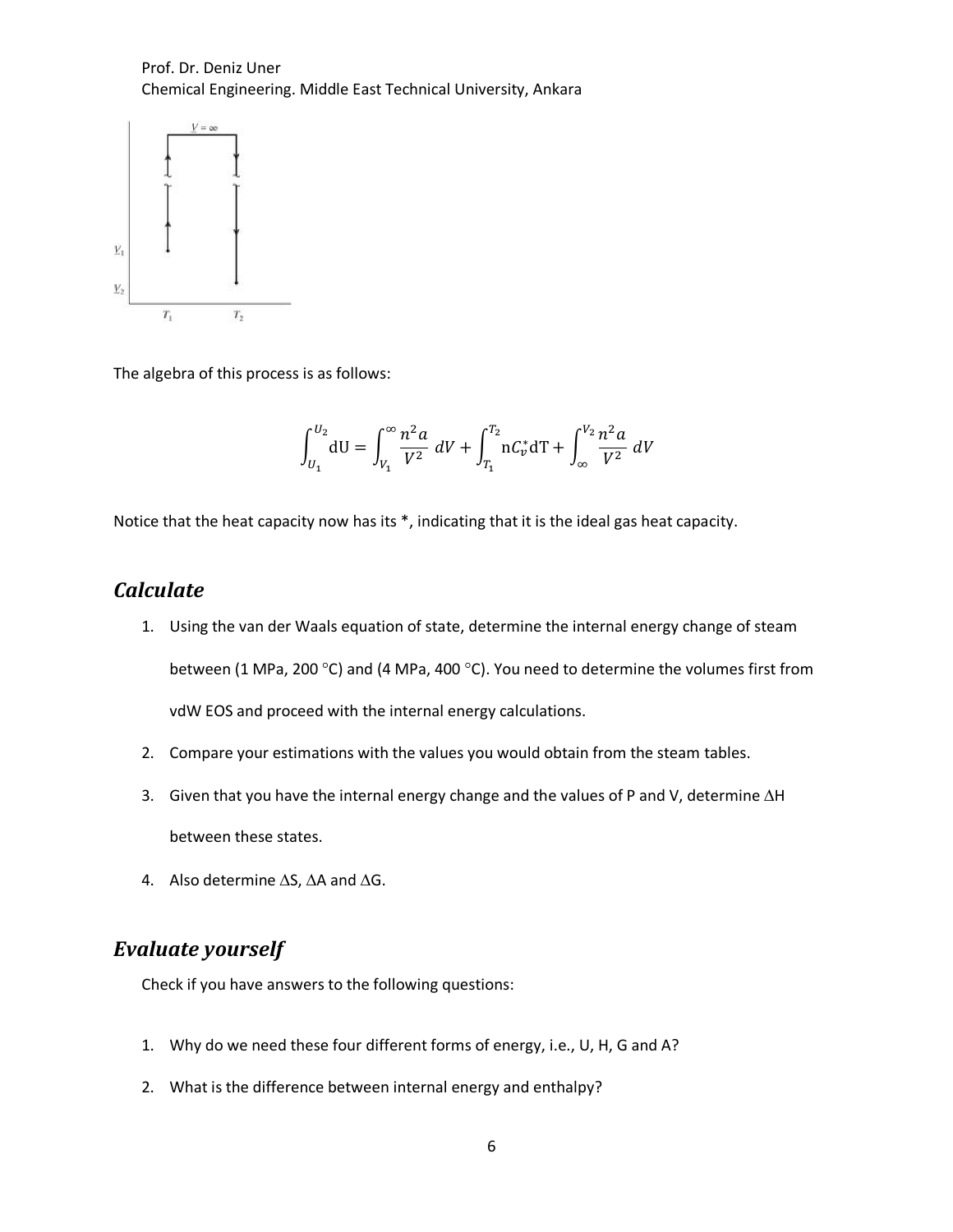Prof. Dr. Deniz Uner Chemical Engineering. Middle East Technical University, Ankara



The algebra of this process is as follows:

$$
\int_{U_1}^{U_2} dU = \int_{V_1}^{\infty} \frac{n^2 a}{V^2} \, dV + \int_{T_1}^{T_2} n C_v^* dT + \int_{\infty}^{V_2} \frac{n^2 a}{V^2} \, dV
$$

Notice that the heat capacity now has its \*, indicating that it is the ideal gas heat capacity.

#### *Calculate*

- 1. Using the van der Waals equation of state, determine the internal energy change of steam between (1 MPa, 200 °C) and (4 MPa, 400 °C). You need to determine the volumes first from vdW EOS and proceed with the internal energy calculations.
- 2. Compare your estimations with the values you would obtain from the steam tables.
- 3. Given that you have the internal energy change and the values of P and V, determine  $\Delta H$ between these states.
- 4. Also determine  $\Delta S$ ,  $\Delta A$  and  $\Delta G$ .

## **Evaluate** yourself

Check if you have answers to the following questions:

- 1. Why do we need these four different forms of energy, i.e., U, H, G and A?
- 2. What is the difference between internal energy and enthalpy?